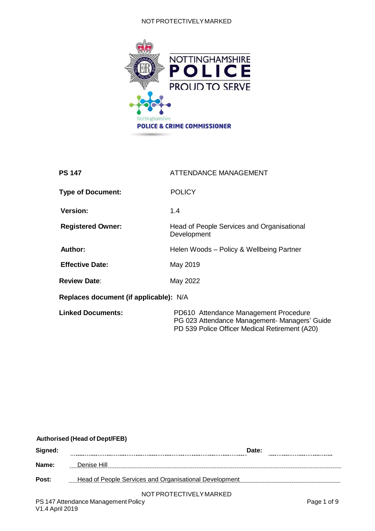#### NOT PROTECTIVELYMARKED



| <b>PS 147</b>                          | <b>ATTENDANCE MANAGEMENT</b>                                                                                                             |
|----------------------------------------|------------------------------------------------------------------------------------------------------------------------------------------|
| <b>Type of Document:</b>               | <b>POLICY</b>                                                                                                                            |
| <b>Version:</b>                        | 1.4                                                                                                                                      |
| <b>Registered Owner:</b>               | Head of People Services and Organisational<br>Development                                                                                |
| <b>Author:</b>                         | Helen Woods - Policy & Wellbeing Partner                                                                                                 |
| <b>Effective Date:</b>                 | May 2019                                                                                                                                 |
| <b>Review Date:</b>                    | May 2022                                                                                                                                 |
| Replaces document (if applicable): N/A |                                                                                                                                          |
| <b>Linked Documents:</b>               | PD610 Attendance Management Procedure<br>PG 023 Attendance Management- Managers' Guide<br>PD 539 Police Officer Medical Retirement (A20) |

#### **Authorised (Head of Dept/FEB)**

| Signed:         | Date:                                                  |             |  |
|-----------------|--------------------------------------------------------|-------------|--|
| Name:           | Denise Hill                                            |             |  |
| Post:           | Head of People Services and Organisational Development |             |  |
|                 | NOT PROTECTIVELY MARKED                                |             |  |
|                 | PS 147 Attendance Management Policy                    | Page 1 of 9 |  |
| V1.4 April 2019 |                                                        |             |  |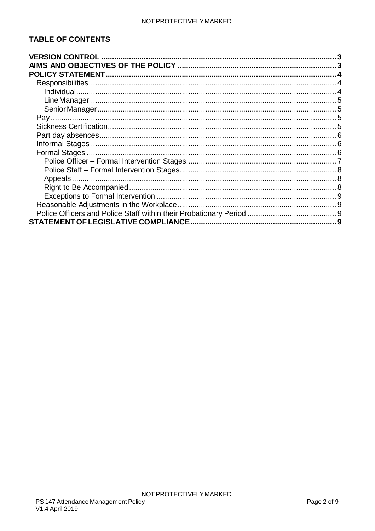### **TABLE OF CONTENTS**

| <b>VERSION CONTROL</b>               |  |
|--------------------------------------|--|
|                                      |  |
|                                      |  |
|                                      |  |
|                                      |  |
|                                      |  |
|                                      |  |
|                                      |  |
|                                      |  |
|                                      |  |
|                                      |  |
|                                      |  |
|                                      |  |
|                                      |  |
| Appeals                              |  |
|                                      |  |
|                                      |  |
|                                      |  |
|                                      |  |
| STATEMENT OF LEGISLATIVE COMPLIANCE. |  |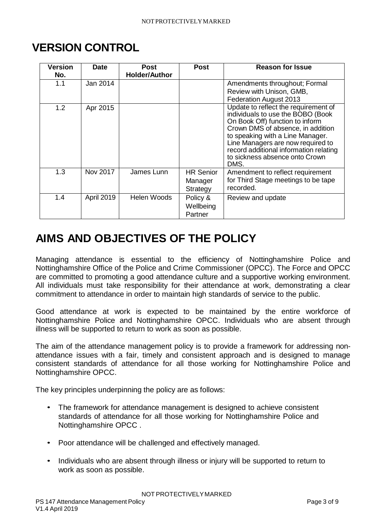# <span id="page-2-0"></span>**VERSION CONTROL**

| Version<br>No. | <b>Date</b>       | <b>Post</b><br><b>Holder/Author</b> | <b>Post</b>                             | <b>Reason for Issue</b>                                                                                                                                                                                                                                                                                        |
|----------------|-------------------|-------------------------------------|-----------------------------------------|----------------------------------------------------------------------------------------------------------------------------------------------------------------------------------------------------------------------------------------------------------------------------------------------------------------|
| 1.1            | Jan 2014          |                                     |                                         | Amendments throughout; Formal<br>Review with Unison, GMB,<br>Federation August 2013                                                                                                                                                                                                                            |
| 1.2            | Apr 2015          |                                     |                                         | Update to reflect the requirement of<br>individuals to use the BOBO (Book<br>On Book Off) function to inform<br>Crown DMS of absence, in addition<br>to speaking with a Line Manager.<br>Line Managers are now required to<br>record additional information relating<br>to sickness absence onto Crown<br>DMS. |
| 1.3            | Nov 2017          | James Lunn                          | <b>HR Senior</b><br>Manager<br>Strategy | Amendment to reflect requirement<br>for Third Stage meetings to be tape<br>recorded.                                                                                                                                                                                                                           |
| 1.4            | <b>April 2019</b> | Helen Woods                         | Policy &<br>Wellbeing<br>Partner        | Review and update                                                                                                                                                                                                                                                                                              |

# <span id="page-2-1"></span>**AIMS AND OBJECTIVES OF THE POLICY**

Managing attendance is essential to the efficiency of Nottinghamshire Police and Nottinghamshire Office of the Police and Crime Commissioner (OPCC). The Force and OPCC are committed to promoting a good attendance culture and a supportive working environment. All individuals must take responsibility for their attendance at work, demonstrating a clear commitment to attendance in order to maintain high standards of service to the public.

Good attendance at work is expected to be maintained by the entire workforce of Nottinghamshire Police and Nottinghamshire OPCC. Individuals who are absent through illness will be supported to return to work as soon as possible.

The aim of the attendance management policy is to provide a framework for addressing nonattendance issues with a fair, timely and consistent approach and is designed to manage consistent standards of attendance for all those working for Nottinghamshire Police and Nottinghamshire OPCC.

The key principles underpinning the policy are as follows:

- The framework for attendance management is designed to achieve consistent standards of attendance for all those working for Nottinghamshire Police and Nottinghamshire OPCC .
- Poor attendance will be challenged and effectively managed.
- Individuals who are absent through illness or injury will be supported to return to work as soon as possible.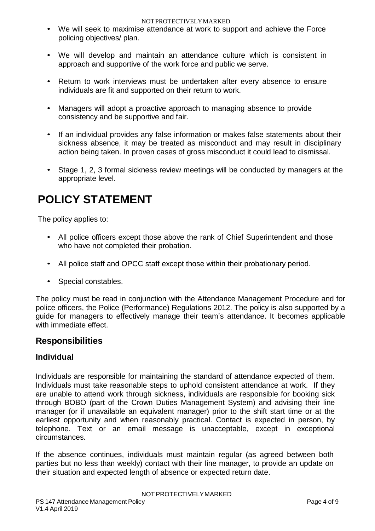#### NOTPROTECTIVELYMARKED

- We will seek to maximise attendance at work to support and achieve the Force policing objectives/ plan.
- We will develop and maintain an attendance culture which is consistent in approach and supportive of the work force and public we serve.
- Return to work interviews must be undertaken after every absence to ensure individuals are fit and supported on their return to work.
- Managers will adopt a proactive approach to managing absence to provide consistency and be supportive and fair.
- If an individual provides any false information or makes false statements about their sickness absence, it may be treated as misconduct and may result in disciplinary action being taken. In proven cases of gross misconduct it could lead to dismissal.
- Stage 1, 2, 3 formal sickness review meetings will be conducted by managers at the appropriate level.

# <span id="page-3-0"></span>**POLICY STATEMENT**

The policy applies to:

- All police officers except those above the rank of Chief Superintendent and those who have not completed their probation.
- All police staff and OPCC staff except those within their probationary period.
- Special constables.

The policy must be read in conjunction with the Attendance Management Procedure and for police officers, the Police (Performance) Regulations 2012. The policy is also supported by a guide for managers to effectively manage their team's attendance. It becomes applicable with immediate effect.

#### <span id="page-3-1"></span>**Responsibilities**

#### <span id="page-3-2"></span>**Individual**

Individuals are responsible for maintaining the standard of attendance expected of them. Individuals must take reasonable steps to uphold consistent attendance at work. If they are unable to attend work through sickness, individuals are responsible for booking sick through BOBO (part of the Crown Duties Management System) and advising their line manager (or if unavailable an equivalent manager) prior to the shift start time or at the earliest opportunity and when reasonably practical. Contact is expected in person, by telephone. Text or an email message is unacceptable, except in exceptional circumstances.

If the absence continues, individuals must maintain regular (as agreed between both parties but no less than weekly) contact with their line manager, to provide an update on their situation and expected length of absence or expected return date.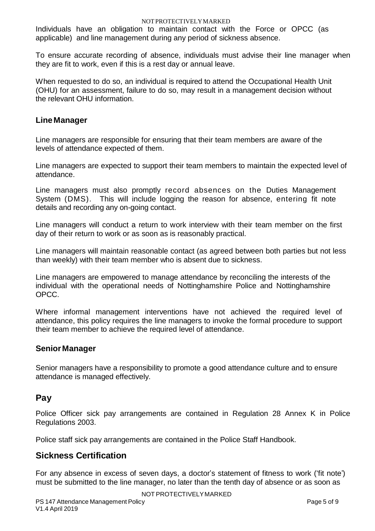Individuals have an obligation to maintain contact with the Force or OPCC (as applicable) and line management during any period of sickness absence.

To ensure accurate recording of absence, individuals must advise their line manager when they are fit to work, even if this is a rest day or annual leave.

When requested to do so, an individual is required to attend the Occupational Health Unit (OHU) for an assessment, failure to do so, may result in a management decision without the relevant OHU information.

#### <span id="page-4-0"></span>**Line Manager**

Line managers are responsible for ensuring that their team members are aware of the levels of attendance expected of them.

Line managers are expected to support their team members to maintain the expected level of attendance.

Line managers must also promptly record absences on the Duties Management System (DMS). This will include logging the reason for absence, entering fit note details and recording any on-going contact.

Line managers will conduct a return to work interview with their team member on the first day of their return to work or as soon as is reasonably practical.

Line managers will maintain reasonable contact (as agreed between both parties but not less than weekly) with their team member who is absent due to sickness.

Line managers are empowered to manage attendance by reconciling the interests of the individual with the operational needs of Nottinghamshire Police and Nottinghamshire OPCC.

Where informal management interventions have not achieved the required level of attendance, this policy requires the line managers to invoke the formal procedure to support their team member to achieve the required level of attendance.

#### <span id="page-4-1"></span>**Senior Manager**

Senior managers have a responsibility to promote a good attendance culture and to ensure attendance is managed effectively.

#### <span id="page-4-2"></span>**Pay**

Police Officer sick pay arrangements are contained in Regulation 28 Annex K in Police Regulations 2003.

Police staff sick pay arrangements are contained in the Police Staff Handbook.

#### <span id="page-4-3"></span>**Sickness Certification**

For any absence in excess of seven days, a doctor's statement of fitness to work ('fit note') must be submitted to the line manager, no later than the tenth day of absence or as soon as

NOT PROTECTIVELYMARKED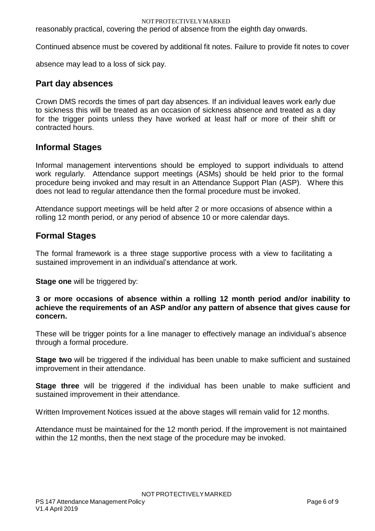reasonably practical, covering the period of absence from the eighth day onwards.

Continued absence must be covered by additional fit notes. Failure to provide fit notes to cover

absence may lead to a loss of sick pay.

#### <span id="page-5-0"></span>**Part day absences**

Crown DMS records the times of part day absences. If an individual leaves work early due to sickness this will be treated as an occasion of sickness absence and treated as a day for the trigger points unless they have worked at least half or more of their shift or contracted hours.

#### <span id="page-5-1"></span>**Informal Stages**

Informal management interventions should be employed to support individuals to attend work regularly. Attendance support meetings (ASMs) should be held prior to the formal procedure being invoked and may result in an Attendance Support Plan (ASP). Where this does not lead to regular attendance then the formal procedure must be invoked.

Attendance support meetings will be held after 2 or more occasions of absence within a rolling 12 month period, or any period of absence 10 or more calendar days.

### <span id="page-5-2"></span>**Formal Stages**

The formal framework is a three stage supportive process with a view to facilitating a sustained improvement in an individual's attendance at work.

**Stage one** will be triggered by:

**3 or more occasions of absence within a rolling 12 month period and/or inability to achieve the requirements of an ASP and/or any pattern of absence that gives cause for concern.**

These will be trigger points for a line manager to effectively manage an individual's absence through a formal procedure.

**Stage two** will be triggered if the individual has been unable to make sufficient and sustained improvement in their attendance.

**Stage three** will be triggered if the individual has been unable to make sufficient and sustained improvement in their attendance.

Written Improvement Notices issued at the above stages will remain valid for 12 months.

Attendance must be maintained for the 12 month period. If the improvement is not maintained within the 12 months, then the next stage of the procedure may be invoked.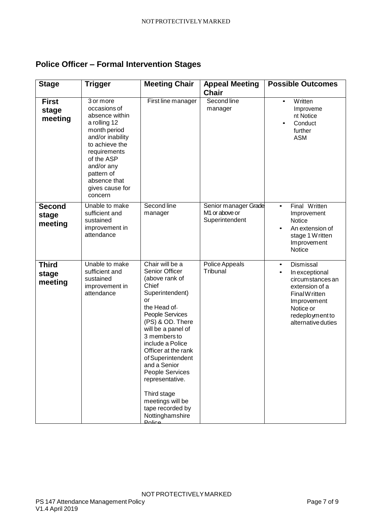# <span id="page-6-0"></span>**Police Officer – Formal Intervention Stages**

| <b>Stage</b>                      | <b>Trigger</b>                                                                                                                                                                                                            | <b>Meeting Chair</b>                                                                                                                                                                                                                                                                                                                                                                               | <b>Appeal Meeting</b><br><b>Chair</b>                                | <b>Possible Outcomes</b>                                                                                                                                                           |
|-----------------------------------|---------------------------------------------------------------------------------------------------------------------------------------------------------------------------------------------------------------------------|----------------------------------------------------------------------------------------------------------------------------------------------------------------------------------------------------------------------------------------------------------------------------------------------------------------------------------------------------------------------------------------------------|----------------------------------------------------------------------|------------------------------------------------------------------------------------------------------------------------------------------------------------------------------------|
| <b>First</b><br>stage<br>meeting  | 3 or more<br>occasions of<br>absence within<br>a rolling 12<br>month period<br>and/or inability<br>to achieve the<br>requirements<br>of the ASP<br>and/or any<br>pattern of<br>absence that<br>gives cause for<br>concern | First line manager                                                                                                                                                                                                                                                                                                                                                                                 | Second line<br>manager                                               | Written<br>$\bullet$<br>Improveme<br>nt Notice<br>Conduct<br>$\bullet$<br>further<br><b>ASM</b>                                                                                    |
| <b>Second</b><br>stage<br>meeting | Unable to make<br>sufficient and<br>sustained<br>improvement in<br>attendance                                                                                                                                             | Second line<br>manager                                                                                                                                                                                                                                                                                                                                                                             | Senior manager Grade<br>M <sub>1</sub> or above or<br>Superintendent | Final Written<br>$\bullet$<br>Improvement<br><b>Notice</b><br>An extension of<br>stage 1 W ritten<br>Improvement<br><b>Notice</b>                                                  |
| <b>Third</b><br>stage<br>meeting  | Unable to make<br>sufficient and<br>sustained<br>improvement in<br>attendance                                                                                                                                             | Chair will be a<br>Senior Officer<br>(above rank of<br>Chief<br>Superintendent)<br>or<br>the Head of<br>People Services<br>(PS) & OD. There<br>will be a panel of<br>3 members to<br>include a Police<br>Officer at the rank<br>of Superintendent<br>and a Senior<br>People Services<br>representative.<br>Third stage<br>meetings will be<br>tape recorded by<br>Nottinghamshire<br><b>Dolico</b> | Police Appeals<br>Tribunal                                           | Dismissal<br>$\bullet$<br>In exceptional<br>$\bullet$<br>circumstances an<br>extension of a<br>Final W ritten<br>Improvement<br>Notice or<br>redeployment to<br>alternative duties |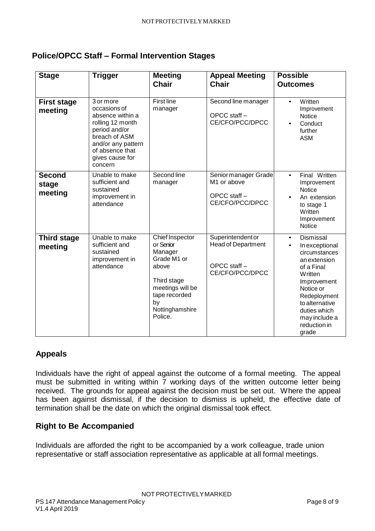#### <span id="page-7-0"></span>**Police/OPCC Staff – Formal Intervention Stages**

| <b>Stage</b>                      | <b>Trigger</b>                                                                                                                                                             | <b>Meeting</b><br><b>Chair</b>                                                                                                                          | <b>Appeal Meeting</b><br><b>Chair</b>                                              | <b>Possible</b><br><b>Outcomes</b>                                                                                                                                                                                                             |
|-----------------------------------|----------------------------------------------------------------------------------------------------------------------------------------------------------------------------|---------------------------------------------------------------------------------------------------------------------------------------------------------|------------------------------------------------------------------------------------|------------------------------------------------------------------------------------------------------------------------------------------------------------------------------------------------------------------------------------------------|
| <b>First stage</b><br>meeting     | 3 or more<br>occasions of<br>absence within a<br>rolling 12 month<br>period and/or<br>breach of ASM<br>and/or any pattern<br>of absence that<br>gives cause for<br>concern | <b>First line</b><br>manager                                                                                                                            | Second line manager<br>OPCC staff -<br>CE/CFO/PCC/DPCC                             | Written<br>$\bullet$<br>Improvement<br>Notice<br>Conduct<br>$\bullet$<br>further<br><b>ASM</b>                                                                                                                                                 |
| <b>Second</b><br>stage<br>meeting | Unable to make<br>sufficient and<br>sustained<br>improvement in<br>attendance                                                                                              | Second line<br>manager                                                                                                                                  | Senior manager Grade<br>M <sub>1</sub> or above<br>OPCC staff -<br>CE/CFO/PCC/DPCC | Final Written<br>$\bullet$<br>Improvement<br><b>Notice</b><br>An extension<br>to stage 1<br>Written<br>Improvement<br><b>Notice</b>                                                                                                            |
| <b>Third stage</b><br>meeting     | Unable to make<br>sufficient and<br>sustained<br>improvement in<br>attendance                                                                                              | Chief Inspector<br>or Senior<br>Manager<br>Grade M1 or<br>above<br>Third stage<br>meetings will be<br>tape recorded<br>by<br>Nottinghamshire<br>Police. | Superintendent or<br><b>Head of Department</b><br>OPCC staff -<br>CE/CFO/PCC/DPCC  | Dismissal<br>$\bullet$<br>In exceptional<br>$\bullet$<br>circumstances<br>an extension<br>of a Final<br><b>Written</b><br>Improvement<br>Notice or<br>Redeployment<br>to alternative<br>duties which<br>may include a<br>reduction in<br>grade |

#### <span id="page-7-1"></span>**Appeals**

Individuals have the right of appeal against the outcome of a formal meeting. The appeal must be submitted in writing within 7 working days of the written outcome letter being received. The grounds for appeal against the decision must be set out. Where the appeal has been against dismissal, if the decision to dismiss is upheld, the effective date of termination shall be the date on which the original dismissal took effect.

#### <span id="page-7-2"></span>**Right to Be Accompanied**

Individuals are afforded the right to be accompanied by a work colleague, trade union representative or staff association representative as applicable at all formal meetings.